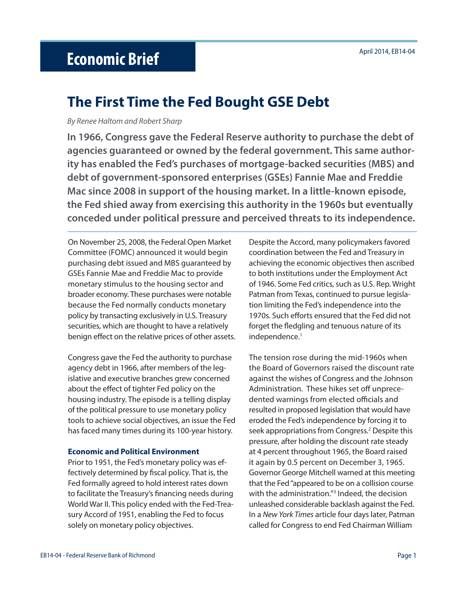# April 2014, EB14-04 **Economic Brief**

# **The First Time the Fed Bought GSE Debt**

By Renee Haltom and Robert Sharp

**In 1966, Congress gave the Federal Reserve authority to purchase the debt of agencies guaranteed or owned by the federal government. This same authority has enabled the Fed's purchases of mortgage-backed securities (MBS) and debt of government-sponsored enterprises (GSEs) Fannie Mae and Freddie Mac since 2008 in support of the housing market. In a little-known episode, the Fed shied away from exercising this authority in the 1960s but eventually conceded under political pressure and perceived threats to its independence.** 

On November 25, 2008, the Federal Open Market Committee (FOMC) announced it would begin purchasing debt issued and MBS guaranteed by GSEs Fannie Mae and Freddie Mac to provide monetary stimulus to the housing sector and broader economy. These purchases were notable because the Fed normally conducts monetary policy by transacting exclusively in U.S. Treasury securities, which are thought to have a relatively benign effect on the relative prices of other assets.

Congress gave the Fed the authority to purchase agency debt in 1966, after members of the legislative and executive branches grew concerned about the effect of tighter Fed policy on the housing industry. The episode is a telling display of the political pressure to use monetary policy tools to achieve social objectives, an issue the Fed has faced many times during its 100-year history.

### **Economic and Political Environment**

Prior to 1951, the Fed's monetary policy was effectively determined by fiscal policy. That is, the Fed formally agreed to hold interest rates down to facilitate the Treasury's financing needs during World War II. This policy ended with the Fed-Treasury Accord of 1951, enabling the Fed to focus solely on monetary policy objectives.

Despite the Accord, many policymakers favored coordination between the Fed and Treasury in achieving the economic objectives then ascribed to both institutions under the Employment Act of 1946. Some Fed critics, such as U.S. Rep. Wright Patman from Texas, continued to pursue legislation limiting the Fed's independence into the 1970s. Such efforts ensured that the Fed did not forget the fledgling and tenuous nature of its independence.<sup>1</sup>

The tension rose during the mid-1960s when the Board of Governors raised the discount rate against the wishes of Congress and the Johnson Administration. These hikes set off unprecedented warnings from elected officials and resulted in proposed legislation that would have eroded the Fed's independence by forcing it to seek appropriations from Congress.<sup>2</sup> Despite this pressure, after holding the discount rate steady at 4 percent throughout 1965, the Board raised it again by 0.5 percent on December 3, 1965. Governor George Mitchell warned at this meeting that the Fed "appeared to be on a collision course with the administration."3 Indeed, the decision unleashed considerable backlash against the Fed. In a New York Times article four days later, Patman called for Congress to end Fed Chairman William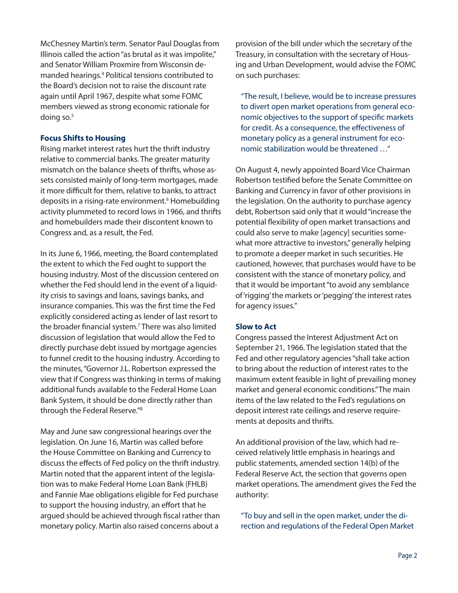McChesney Martin's term. Senator Paul Douglas from Illinois called the action "as brutal as it was impolite," and Senator William Proxmire from Wisconsin demanded hearings.4 Political tensions contributed to the Board's decision not to raise the discount rate again until April 1967, despite what some FOMC members viewed as strong economic rationale for doing so.5

## **Focus Shifts to Housing**

Rising market interest rates hurt the thrift industry relative to commercial banks. The greater maturity mismatch on the balance sheets of thrifts, whose assets consisted mainly of long-term mortgages, made it more difficult for them, relative to banks, to attract deposits in a rising-rate environment.<sup>6</sup> Homebuilding activity plummeted to record lows in 1966, and thrifts and homebuilders made their discontent known to Congress and, as a result, the Fed.

In its June 6, 1966, meeting, the Board contemplated the extent to which the Fed ought to support the housing industry. Most of the discussion centered on whether the Fed should lend in the event of a liquidity crisis to savings and loans, savings banks, and insurance companies. This was the first time the Fed explicitly considered acting as lender of last resort to the broader financial system.<sup>7</sup> There was also limited discussion of legislation that would allow the Fed to directly purchase debt issued by mortgage agencies to funnel credit to the housing industry. According to the minutes, "Governor J.L. Robertson expressed the view that if Congress was thinking in terms of making additional funds available to the Federal Home Loan Bank System, it should be done directly rather than through the Federal Reserve."8

May and June saw congressional hearings over the legislation. On June 16, Martin was called before the House Committee on Banking and Currency to discuss the effects of Fed policy on the thrift industry. Martin noted that the apparent intent of the legislation was to make Federal Home Loan Bank (FHLB) and Fannie Mae obligations eligible for Fed purchase to support the housing industry, an effort that he argued should be achieved through fiscal rather than monetary policy. Martin also raised concerns about a

provision of the bill under which the secretary of the Treasury, in consultation with the secretary of Housing and Urban Development, would advise the FOMC on such purchases:

"The result, I believe, would be to increase pressures to divert open market operations from general economic objectives to the support of specific markets for credit. As a consequence, the effectiveness of monetary policy as a general instrument for economic stabilization would be threatened …"

On August 4, newly appointed Board Vice Chairman Robertson testified before the Senate Committee on Banking and Currency in favor of other provisions in the legislation. On the authority to purchase agency debt, Robertson said only that it would "increase the potential flexibility of open market transactions and could also serve to make [agency] securities somewhat more attractive to investors," generally helping to promote a deeper market in such securities. He cautioned, however, that purchases would have to be consistent with the stance of monetary policy, and that it would be important "to avoid any semblance of 'rigging' the markets or 'pegging' the interest rates for agency issues."

### **Slow to Act**

Congress passed the Interest Adjustment Act on September 21, 1966. The legislation stated that the Fed and other regulatory agencies "shall take action to bring about the reduction of interest rates to the maximum extent feasible in light of prevailing money market and general economic conditions." The main items of the law related to the Fed's regulations on deposit interest rate ceilings and reserve requirements at deposits and thrifts.

An additional provision of the law, which had received relatively little emphasis in hearings and public statements, amended section 14(b) of the Federal Reserve Act, the section that governs open market operations. The amendment gives the Fed the authority:

"To buy and sell in the open market, under the direction and regulations of the Federal Open Market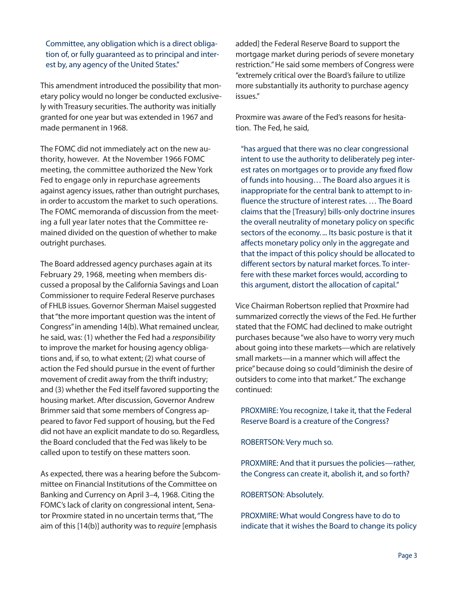Committee, any obligation which is a direct obligation of, or fully guaranteed as to principal and interest by, any agency of the United States."

This amendment introduced the possibility that monetary policy would no longer be conducted exclusively with Treasury securities. The authority was initially granted for one year but was extended in 1967 and made permanent in 1968.

The FOMC did not immediately act on the new authority, however. At the November 1966 FOMC meeting, the committee authorized the New York Fed to engage only in repurchase agreements against agency issues, rather than outright purchases, in order to accustom the market to such operations. The FOMC memoranda of discussion from the meeting a full year later notes that the Committee remained divided on the question of whether to make outright purchases.

The Board addressed agency purchases again at its February 29, 1968, meeting when members discussed a proposal by the California Savings and Loan Commissioner to require Federal Reserve purchases of FHLB issues. Governor Sherman Maisel suggested that "the more important question was the intent of Congress" in amending 14(b). What remained unclear, he said, was: (1) whether the Fed had a responsibility to improve the market for housing agency obligations and, if so, to what extent; (2) what course of action the Fed should pursue in the event of further movement of credit away from the thrift industry; and (3) whether the Fed itself favored supporting the housing market. After discussion, Governor Andrew Brimmer said that some members of Congress appeared to favor Fed support of housing, but the Fed did not have an explicit mandate to do so. Regardless, the Board concluded that the Fed was likely to be called upon to testify on these matters soon.

As expected, there was a hearing before the Subcommittee on Financial Institutions of the Committee on Banking and Currency on April 3–4, 1968. Citing the FOMC's lack of clarity on congressional intent, Senator Proxmire stated in no uncertain terms that, "The aim of this [14(b)] authority was to require [emphasis

added] the Federal Reserve Board to support the mortgage market during periods of severe monetary restriction." He said some members of Congress were "extremely critical over the Board's failure to utilize more substantially its authority to purchase agency issues."

Proxmire was aware of the Fed's reasons for hesitation. The Fed, he said,

"has argued that there was no clear congressional intent to use the authority to deliberately peg interest rates on mortgages or to provide any fixed flow of funds into housing… The Board also argues it is inappropriate for the central bank to attempt to influence the structure of interest rates. ... The Board claims that the [Treasury] bills-only doctrine insures the overall neutrality of monetary policy on specific sectors of the economy. ... Its basic posture is that it affects monetary policy only in the aggregate and that the impact of this policy should be allocated to different sectors by natural market forces. To interfere with these market forces would, according to this argument, distort the allocation of capital."

Vice Chairman Robertson replied that Proxmire had summarized correctly the views of the Fed. He further stated that the FOMC had declined to make outright purchases because "we also have to worry very much about going into these markets—which are relatively small markets—in a manner which will affect the price" because doing so could "diminish the desire of outsiders to come into that market." The exchange continued:

PROXMIRE: You recognize, I take it, that the Federal Reserve Board is a creature of the Congress?

ROBERTSON: Very much so.

PROXMIRE: And that it pursues the policies—rather, the Congress can create it, abolish it, and so forth?

### ROBERTSON: Absolutely.

PROXMIRE: What would Congress have to do to indicate that it wishes the Board to change its policy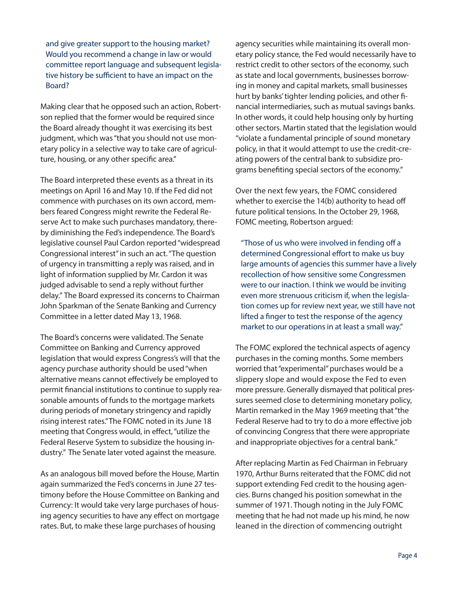and give greater support to the housing market? Would you recommend a change in law or would committee report language and subsequent legislative history be sufficient to have an impact on the Board?

Making clear that he opposed such an action, Robertson replied that the former would be required since the Board already thought it was exercising its best judgment, which was "that you should not use monetary policy in a selective way to take care of agriculture, housing, or any other specific area."

The Board interpreted these events as a threat in its meetings on April 16 and May 10. If the Fed did not commence with purchases on its own accord, members feared Congress might rewrite the Federal Reserve Act to make such purchases mandatory, thereby diminishing the Fed's independence. The Board's legislative counsel Paul Cardon reported "widespread Congressional interest" in such an act. "The question of urgency in transmitting a reply was raised, and in light of information supplied by Mr. Cardon it was judged advisable to send a reply without further delay." The Board expressed its concerns to Chairman John Sparkman of the Senate Banking and Currency Committee in a letter dated May 13, 1968.

The Board's concerns were validated. The Senate Committee on Banking and Currency approved legislation that would express Congress's will that the agency purchase authority should be used "when alternative means cannot effectively be employed to permit financial institutions to continue to supply reasonable amounts of funds to the mortgage markets during periods of monetary stringency and rapidly rising interest rates." The FOMC noted in its June 18 meeting that Congress would, in effect, "utilize the Federal Reserve System to subsidize the housing industry." The Senate later voted against the measure.

As an analogous bill moved before the House, Martin again summarized the Fed's concerns in June 27 testimony before the House Committee on Banking and Currency: It would take very large purchases of housing agency securities to have any effect on mortgage rates. But, to make these large purchases of housing

agency securities while maintaining its overall monetary policy stance, the Fed would necessarily have to restrict credit to other sectors of the economy, such as state and local governments, businesses borrowing in money and capital markets, small businesses hurt by banks' tighter lending policies, and other financial intermediaries, such as mutual savings banks. In other words, it could help housing only by hurting other sectors. Martin stated that the legislation would "violate a fundamental principle of sound monetary policy, in that it would attempt to use the credit-creating powers of the central bank to subsidize programs benefiting special sectors of the economy."

Over the next few years, the FOMC considered whether to exercise the 14(b) authority to head off future political tensions. In the October 29, 1968, FOMC meeting, Robertson argued:

"Those of us who were involved in fending off a determined Congressional effort to make us buy large amounts of agencies this summer have a lively recollection of how sensitive some Congressmen were to our inaction. I think we would be inviting even more strenuous criticism if, when the legislation comes up for review next year, we still have not lifted a finger to test the response of the agency market to our operations in at least a small way."

The FOMC explored the technical aspects of agency purchases in the coming months. Some members worried that "experimental" purchases would be a slippery slope and would expose the Fed to even more pressure. Generally dismayed that political pressures seemed close to determining monetary policy, Martin remarked in the May 1969 meeting that "the Federal Reserve had to try to do a more effective job of convincing Congress that there were appropriate and inappropriate objectives for a central bank."

After replacing Martin as Fed Chairman in February 1970, Arthur Burns reiterated that the FOMC did not support extending Fed credit to the housing agencies. Burns changed his position somewhat in the summer of 1971. Though noting in the July FOMC meeting that he had not made up his mind, he now leaned in the direction of commencing outright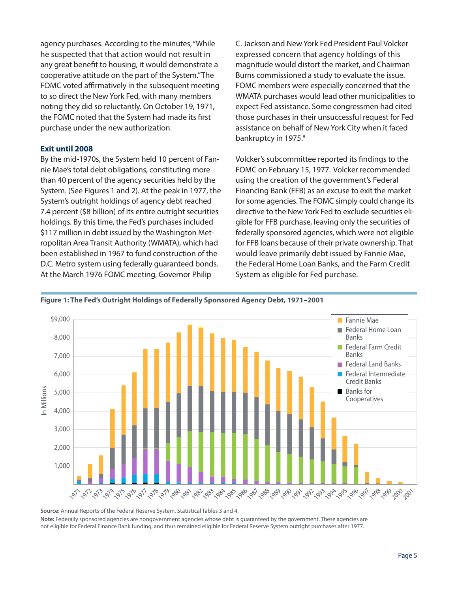agency purchases. According to the minutes, "While he suspected that that action would not result in any great benefit to housing, it would demonstrate a cooperative attitude on the part of the System." The FOMC voted affirmatively in the subsequent meeting to so direct the New York Fed, with many members noting they did so reluctantly. On October 19, 1971, the FOMC noted that the System had made its first purchase under the new authorization.

### **Exit until 2008**

By the mid-1970s, the System held 10 percent of Fannie Mae's total debt obligations, constituting more than 40 percent of the agency securities held by the System. (See Figures 1 and 2). At the peak in 1977, the System's outright holdings of agency debt reached 7.4 percent (\$8 billion) of its entire outright securities holdings. By this time, the Fed's purchases included \$117 million in debt issued by the Washington Metropolitan Area Transit Authority (WMATA), which had been established in 1967 to fund construction of the D.C. Metro system using federally guaranteed bonds. At the March 1976 FOMC meeting, Governor Philip

C. Jackson and New York Fed President Paul Volcker expressed concern that agency holdings of this magnitude would distort the market, and Chairman Burns commissioned a study to evaluate the issue. FOMC members were especially concerned that the WMATA purchases would lead other municipalities to expect Fed assistance. Some congressmen had cited those purchases in their unsuccessful request for Fed assistance on behalf of New York City when it faced bankruptcy in 1975.<sup>9</sup>

Volcker's subcommittee reported its findings to the FOMC on February 15, 1977. Volcker recommended using the creation of the government's Federal Financing Bank (FFB) as an excuse to exit the market for some agencies. The FOMC simply could change its directive to the New York Fed to exclude securities eligible for FFB purchase, leaving only the securities of federally sponsored agencies, which were not eligible for FFB loans because of their private ownership. That would leave primarily debt issued by Fannie Mae, the Federal Home Loan Banks, and the Farm Credit System as eligible for Fed purchase.



#### **Figure 1: The Fed's Outright Holdings of Federally Sponsored Agency Debt, 1971–2001**

**Source:** Annual Reports of the Federal Reserve System, Statistical Tables 3 and 4. **Note:** Federally sponsored agencies are nongovernment agencies whose debt is guaranteed by the government. These agencies are not eligible for Federal Finance Bank funding, and thus remained eligible for Federal Reserve System outright purchases after 1977.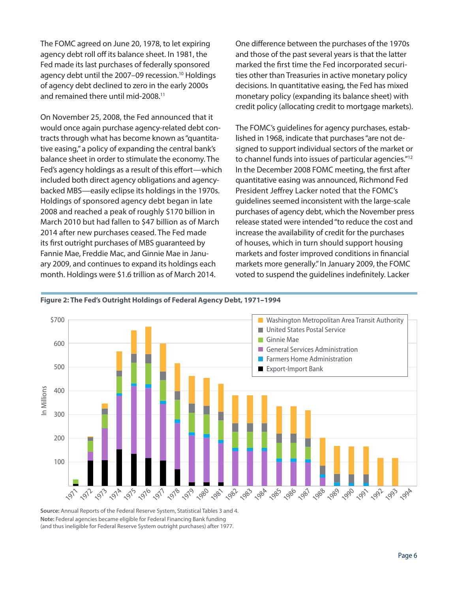The FOMC agreed on June 20, 1978, to let expiring agency debt roll off its balance sheet. In 1981, the Fed made its last purchases of federally sponsored agency debt until the 2007–09 recession.<sup>10</sup> Holdings of agency debt declined to zero in the early 2000s and remained there until mid-2008.11

On November 25, 2008, the Fed announced that it would once again purchase agency-related debt contracts through what has become known as "quantitative easing," a policy of expanding the central bank's balance sheet in order to stimulate the economy. The Fed's agency holdings as a result of this effort—which included both direct agency obligations and agencybacked MBS—easily eclipse its holdings in the 1970s. Holdings of sponsored agency debt began in late 2008 and reached a peak of roughly \$170 billion in March 2010 but had fallen to \$47 billion as of March 2014 after new purchases ceased. The Fed made its first outright purchases of MBS guaranteed by Fannie Mae, Freddie Mac, and Ginnie Mae in January 2009, and continues to expand its holdings each month. Holdings were \$1.6 trillion as of March 2014.

One difference between the purchases of the 1970s and those of the past several years is that the latter marked the first time the Fed incorporated securities other than Treasuries in active monetary policy decisions. In quantitative easing, the Fed has mixed monetary policy (expanding its balance sheet) with credit policy (allocating credit to mortgage markets).

The FOMC's guidelines for agency purchases, established in 1968, indicate that purchases "are not designed to support individual sectors of the market or to channel funds into issues of particular agencies."12 In the December 2008 FOMC meeting, the first after quantitative easing was announced, Richmond Fed President Jeffrey Lacker noted that the FOMC's guidelines seemed inconsistent with the large-scale purchases of agency debt, which the November press release stated were intended "to reduce the cost and increase the availability of credit for the purchases of houses, which in turn should support housing markets and foster improved conditions in financial markets more generally." In January 2009, the FOMC voted to suspend the guidelines indefinitely. Lacker



#### **Figure 2: The Fed's Outright Holdings of Federal Agency Debt, 1971–1994**

**Source:** Annual Reports of the Federal Reserve System, Statistical Tables 3 and 4. **Note:** Federal agencies became eligible for Federal Financing Bank funding (and thus ineligible for Federal Reserve System outright purchases) after 1977.